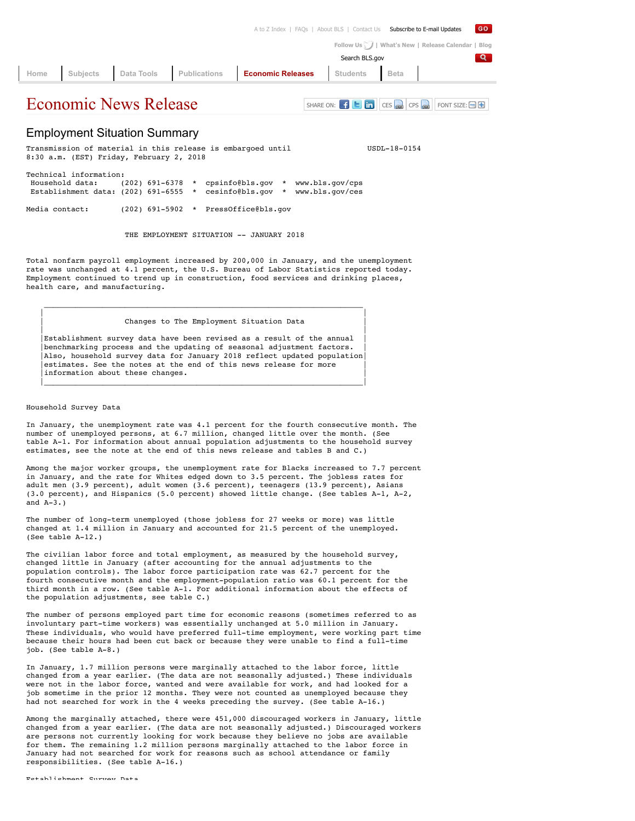|  |  | A to Z Index   FAQs   About BLS   Contact Us Subscribe to E-mail Updates     |                |                                                    | GO |
|--|--|------------------------------------------------------------------------------|----------------|----------------------------------------------------|----|
|  |  |                                                                              |                | Follow Us     What's New   Release Calendar   Blog |    |
|  |  |                                                                              | Search BLS.gov |                                                    | Q. |
|  |  | Home Subjects Data Tools Publications <b>Economic Releases</b> Students Beta |                |                                                    |    |
|  |  |                                                                              |                |                                                    |    |

# $E$ conomic News Release SHARE ON:  $E$  **E**  $\overline{m}$   $\overline{c}$   $\overline{c}$   $\overline{c}$   $\overline{c}$   $\overline{c}$   $\overline{c}$   $\overline{c}$   $\overline{c}$   $\overline{c}$   $\overline{c}$   $\overline{c}$   $\overline{c}$   $\overline{c}$   $\overline{c}$   $\overline{c}$   $\overline{c}$   $\overline{c}$   $\overline{c}$   $\overline{c}$

# Employment Situation Summary

Transmission of material in this release is embargoed until  $UBDL-18-0154$ 8:30 a.m. (EST) Friday, February 2, 2018 Technical information: Household data: (202) 691-6378 \* cpsinfo@bls.gov \* www.bls.gov/cps Establishment data: (202) 691-6555 \* cesinfo@bls.gov \* www.bls.gov/ces Media contact: (202) 691-5902 \* PressOffice@bls.gov

THE EMPLOYMENT SITUATION -- JANUARY 2018

Total nonfarm payroll employment increased by 200,000 in January, and the unemployment rate was unchanged at 4.1 percent, the U.S. Bureau of Labor Statistics reported today. Employment continued to trend up in construction, food services and drinking places, health care, and manufacturing.

Changes to The Employment Situation Data

Establishment survey data have been revised as a result of the annual benchmarking process and the updating of seasonal adjustment factors. Also, household survey data for January 2018 reflect updated population estimates. See the notes at the end of this news release for more information about these changes.

 $\mathcal{L}_\text{max} = \frac{1}{2} \sum_{i=1}^{n} \frac{1}{2} \sum_{i=1}^{n} \frac{1}{2} \sum_{i=1}^{n} \frac{1}{2} \sum_{i=1}^{n} \frac{1}{2} \sum_{i=1}^{n} \frac{1}{2} \sum_{i=1}^{n} \frac{1}{2} \sum_{i=1}^{n} \frac{1}{2} \sum_{i=1}^{n} \frac{1}{2} \sum_{i=1}^{n} \frac{1}{2} \sum_{i=1}^{n} \frac{1}{2} \sum_{i=1}^{n} \frac{1}{2} \sum_{i=1}^{n} \frac{1$ | |

| |

|\_\_\_\_\_\_\_\_\_\_\_\_\_\_\_\_\_\_\_\_\_\_\_\_\_\_\_\_\_\_\_\_\_\_\_\_\_\_\_\_\_\_\_\_\_\_\_\_\_\_\_\_\_\_\_\_\_\_\_\_\_\_\_\_\_\_\_\_\_\_\_|

#### Household Survey Data

In January, the unemployment rate was 4.1 percent for the fourth consecutive month. The number of unemployed persons, at 6.7 million, changed little over the month. (See table A-1. For information about annual population adjustments to the household survey estimates, see the note at the end of this news release and tables B and C.)

Among the major worker groups, the unemployment rate for Blacks increased to 7.7 percent in January, and the rate for Whites edged down to 3.5 percent. The jobless rates for adult men (3.9 percent), adult women (3.6 percent), teenagers (13.9 percent), Asians (3.0 percent), and Hispanics (5.0 percent) showed little change. (See tables A-1, A-2, and  $A-3.1$ 

The number of long-term unemployed (those jobless for 27 weeks or more) was little changed at 1.4 million in January and accounted for 21.5 percent of the unemployed. (See table A-12.)

The civilian labor force and total employment, as measured by the household survey, changed little in January (after accounting for the annual adjustments to the population controls). The labor force participation rate was 62.7 percent for the fourth consecutive month and the employment-population ratio was 60.1 percent for the third month in a row. (See table A-1. For additional information about the effects of the population adjustments, see table C.)

The number of persons employed part time for economic reasons (sometimes referred to as involuntary part-time workers) was essentially unchanged at 5.0 million in January. These individuals, who would have preferred full-time employment, were working part time because their hours had been cut back or because they were unable to find a full-time job. (See table A-8.)

In January, 1.7 million persons were marginally attached to the labor force, little changed from a year earlier. (The data are not seasonally adjusted.) These individuals were not in the labor force, wanted and were available for work, and had looked for a job sometime in the prior 12 months. They were not counted as unemployed because they had not searched for work in the 4 weeks preceding the survey. (See table A-16.)

Among the marginally attached, there were 451,000 discouraged workers in January, little changed from a year earlier. (The data are not seasonally adjusted.) Discouraged workers are persons not currently looking for work because they believe no jobs are available for them. The remaining 1.2 million persons marginally attached to the labor force in January had not searched for work for reasons such as school attendance or family responsibilities. (See table A-16.)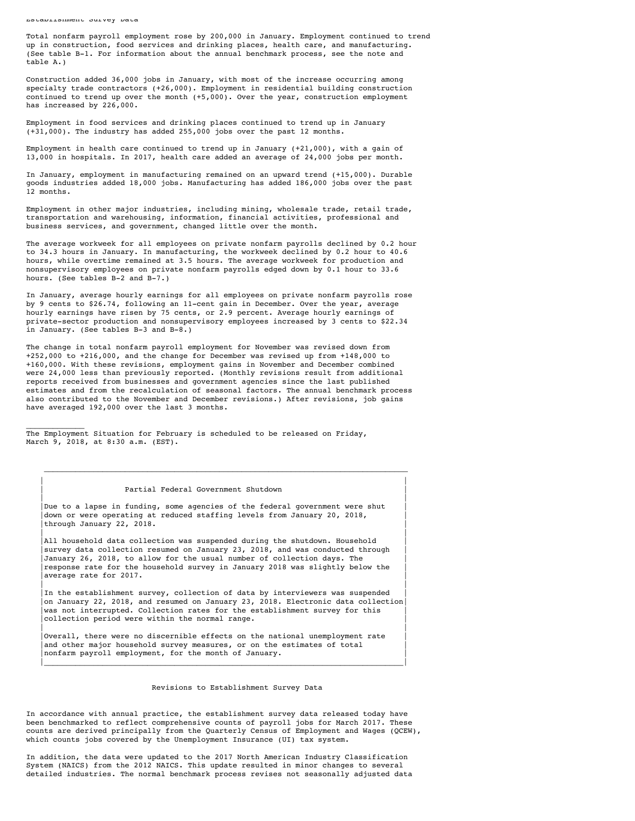Establishment Survey Data

Total nonfarm payroll employment rose by 200,000 in January. Employment continued to trend up in construction, food services and drinking places, health care, and manufacturing. (See table B-1. For information about the annual benchmark process, see the note and table A.)

Construction added 36,000 jobs in January, with most of the increase occurring among specialty trade contractors (+26,000). Employment in residential building construction continued to trend up over the month  $(+5,000)$ . Over the year, construction employment has increased by 226,000.

Employment in food services and drinking places continued to trend up in January (+31,000). The industry has added 255,000 jobs over the past 12 months.

Employment in health care continued to trend up in January (+21,000), with a gain of 13,000 in hospitals. In 2017, health care added an average of 24,000 jobs per month.

In January, employment in manufacturing remained on an upward trend (+15,000). Durable goods industries added 18,000 jobs. Manufacturing has added 186,000 jobs over the past 12 months.

Employment in other major industries, including mining, wholesale trade, retail trade, transportation and warehousing, information, financial activities, professional and business services, and government, changed little over the month.

The average workweek for all employees on private nonfarm payrolls declined by 0.2 hour to 34.3 hours in January. In manufacturing, the workweek declined by 0.2 hour to 40.6 hours, while overtime remained at 3.5 hours. The average workweek for production and nonsupervisory employees on private nonfarm payrolls edged down by 0.1 hour to 33.6 hours. (See tables B-2 and B-7.)

In January, average hourly earnings for all employees on private nonfarm payrolls rose by 9 cents to \$26.74, following an 11-cent gain in December. Over the year, average hourly earnings have risen by 75 cents, or 2.9 percent. Average hourly earnings of private-sector production and nonsupervisory employees increased by 3 cents to \$22.34 in January. (See tables B-3 and B-8.)

The change in total nonfarm payroll employment for November was revised down from +252,000 to +216,000, and the change for December was revised up from +148,000 to +160,000. With these revisions, employment gains in November and December combined were 24,000 less than previously reported. (Monthly revisions result from additional reports received from businesses and government agencies since the last published estimates and from the recalculation of seasonal factors. The annual benchmark process also contributed to the November and December revisions.) After revisions, job gains have averaged 192,000 over the last 3 months.

 $\frac{1}{2}$  ,  $\frac{1}{2}$  ,  $\frac{1}{2}$  ,  $\frac{1}{2}$  ,  $\frac{1}{2}$  ,  $\frac{1}{2}$  ,  $\frac{1}{2}$ The Employment Situation for February is scheduled to be released on Friday, March 9, 2018, at 8:30 a.m. (EST).

#### | | | Partial Federal Government Shutdown |

 | | Due to a lapse in funding, some agencies of the federal government were shut down or were operating at reduced staffing levels from January 20, 2018, through January 22, 2018. | |

 $\mathcal{L}_\text{max} = \frac{1}{2} \sum_{i=1}^{n} \frac{1}{2} \sum_{i=1}^{n} \frac{1}{2} \sum_{i=1}^{n} \frac{1}{2} \sum_{i=1}^{n} \frac{1}{2} \sum_{i=1}^{n} \frac{1}{2} \sum_{i=1}^{n} \frac{1}{2} \sum_{i=1}^{n} \frac{1}{2} \sum_{i=1}^{n} \frac{1}{2} \sum_{i=1}^{n} \frac{1}{2} \sum_{i=1}^{n} \frac{1}{2} \sum_{i=1}^{n} \frac{1}{2} \sum_{i=1}^{n} \frac{1$ 

All household data collection was suspended during the shutdown. Household survey data collection resumed on January 23, 2018, and was conducted through January 26, 2018, to allow for the usual number of collection days. The response rate for the household survey in January 2018 was slightly below the average rate for 2017.

| |

In the establishment survey, collection of data by interviewers was suspended on January 22, 2018, and resumed on January 23, 2018. Electronic data collection was not interrupted. Collection rates for the establishment survey for this collection period were within the normal range.

 | | Overall, there were no discernible effects on the national unemployment rate and other major household survey measures, or on the estimates of total nonfarm payroll employment, for the month of January.  $|\cdot|$  , and the set of the set of the set of the set of the set of the set of the set of the set of the set of the set of the set of the set of the set of the set of the set of the set of the set of the set of the set of

## Revisions to Establishment Survey Data

In accordance with annual practice, the establishment survey data released today have been benchmarked to reflect comprehensive counts of payroll jobs for March 2017. These counts are derived principally from the Quarterly Census of Employment and Wages (QCEW), which counts jobs covered by the Unemployment Insurance (UI) tax system.

In addition, the data were updated to the 2017 North American Industry Classification System (NAICS) from the 2012 NAICS. This update resulted in minor changes to several detailed industries. The normal benchmark process revises not seasonally adjusted data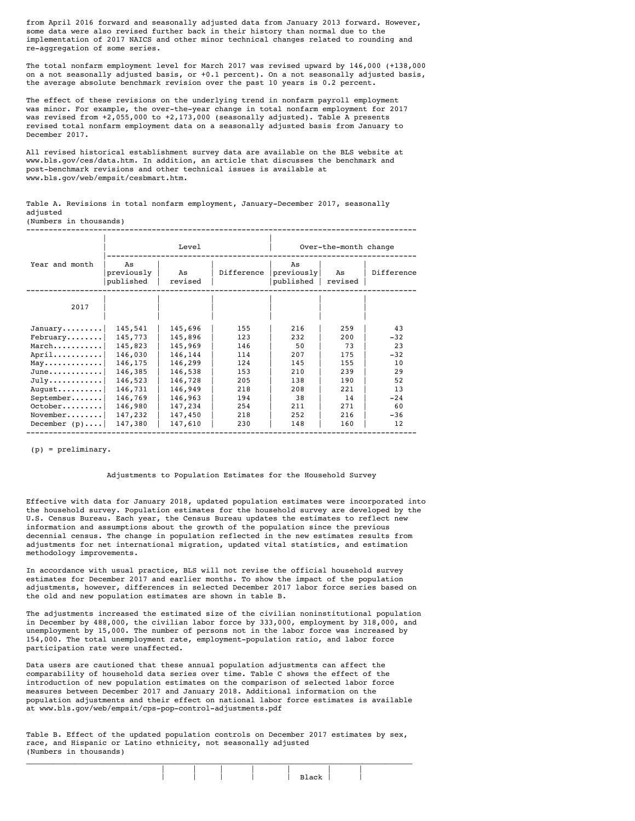from April 2016 forward and seasonally adjusted data from January 2013 forward. However, some data were also revised further back in their history than normal due to the implementation of 2017 NAICS and other minor technical changes related to rounding and re-aggregation of some series.

The total nonfarm employment level for March 2017 was revised upward by 146,000 (+138,000 on a not seasonally adjusted basis, or +0.1 percent). On a not seasonally adjusted basis, the average absolute benchmark revision over the past 10 years is 0.2 percent.

The effect of these revisions on the underlying trend in nonfarm payroll employment was minor. For example, the over-the-year change in total nonfarm employment for 2017 was revised from +2,055,000 to +2,173,000 (seasonally adjusted). Table A presents revised total nonfarm employment data on a seasonally adjusted basis from January to December 2017.

All revised historical establishment survey data are available on the BLS website at www.bls.gov/ces/data.htm. In addition, an article that discusses the benchmark and post-benchmark revisions and other technical issues is available at www.bls.gov/web/empsit/cesbmart.htm.

Table A. Revisions in total nonfarm employment, January-December 2017, seasonally adjusted

| (Numbers in thousands) |  |  |  |  |  |  |  |  |  |  |  |  |  |
|------------------------|--|--|--|--|--|--|--|--|--|--|--|--|--|
|                        |  |  |  |  |  |  |  |  |  |  |  |  |  |

|                                   |                               | Level         |            |                               | Over-the-month change |            |
|-----------------------------------|-------------------------------|---------------|------------|-------------------------------|-----------------------|------------|
| Year and month                    | As<br>previously<br>published | As<br>revised | Difference | As<br>previously<br>published | As<br>revised         | Difference |
| 2017                              |                               |               |            |                               |                       |            |
| $January \ldots \ldots$           | 145,541                       | 145,696       | 155        | 216                           | 259                   | 43         |
| February                          | 145,773                       | 145,896       | 123        | 232                           | 200                   | $-32$      |
| March                             | 145,823                       | 145,969       | 146        | 50                            | 73                    | 23         |
| April                             | 146,030                       | 146,144       | 114        | 207                           | 175                   | $-32$      |
| $May \ldots \ldots \ldots \ldots$ | 146,175                       | 146,299       | 124        | 145                           | 155                   | 10         |
| $June \dots \dots \dots \dots$    | 146,385                       | 146,538       | 153        | 210                           | 239                   | 29         |
| $July \ldots \ldots \ldots$       | 146,523                       | 146,728       | 205        | 138                           | 190                   | 52         |
| August                            | 146,731                       | 146,949       | 218        | 208                           | 221                   | 13         |
| $September \ldots \ldots$         | 146,769                       | 146,963       | 194        | 38                            | 14                    | $-24$      |
| $October \ldots \ldots \ldots$    | 146,980                       | 147,234       | 254        | 211                           | 271                   | 60         |
| $November \ldots \ldots$          | 147,232                       | 147,450       | 218        | 252                           | 216                   | $-36$      |
| December $(p)$                    | 147,380                       | 147,610       | 230        | 148                           | 160                   | 12         |

(p) = preliminary.

#### Adjustments to Population Estimates for the Household Survey

Effective with data for January 2018, updated population estimates were incorporated into the household survey. Population estimates for the household survey are developed by the U.S. Census Bureau. Each year, the Census Bureau updates the estimates to reflect new information and assumptions about the growth of the population since the previous decennial census. The change in population reflected in the new estimates results from adjustments for net international migration, updated vital statistics, and estimation methodology improvements.

In accordance with usual practice, BLS will not revise the official household survey estimates for December 2017 and earlier months. To show the impact of the population adjustments, however, differences in selected December 2017 labor force series based on the old and new population estimates are shown in table B.

The adjustments increased the estimated size of the civilian noninstitutional population in December by 488,000, the civilian labor force by 333,000, employment by 318,000, and unemployment by 15,000. The number of persons not in the labor force was increased by 154,000. The total unemployment rate, employment-population ratio, and labor force participation rate were unaffected.

Data users are cautioned that these annual population adjustments can affect the comparability of household data series over time. Table C shows the effect of the introduction of new population estimates on the comparison of selected labor force measures between December 2017 and January 2018. Additional information on the population adjustments and their effect on national labor force estimates is available at www.bls.gov/web/empsit/cps-pop-control-adjustments.pdf

Table B. Effect of the updated population controls on December 2017 estimates by sex, race, and Hispanic or Latino ethnicity, not seasonally adjusted (Numbers in thousands)  $\mathcal{L}_\mathcal{L} = \{ \mathcal{L}_\mathcal{L} = \{ \mathcal{L}_\mathcal{L} = \{ \mathcal{L}_\mathcal{L} = \{ \mathcal{L}_\mathcal{L} = \{ \mathcal{L}_\mathcal{L} = \{ \mathcal{L}_\mathcal{L} = \{ \mathcal{L}_\mathcal{L} = \{ \mathcal{L}_\mathcal{L} = \{ \mathcal{L}_\mathcal{L} = \{ \mathcal{L}_\mathcal{L} = \{ \mathcal{L}_\mathcal{L} = \{ \mathcal{L}_\mathcal{L} = \{ \mathcal{L}_\mathcal{L} = \{ \mathcal{L}_\mathcal{$ 

|  |  | .ek |  |
|--|--|-----|--|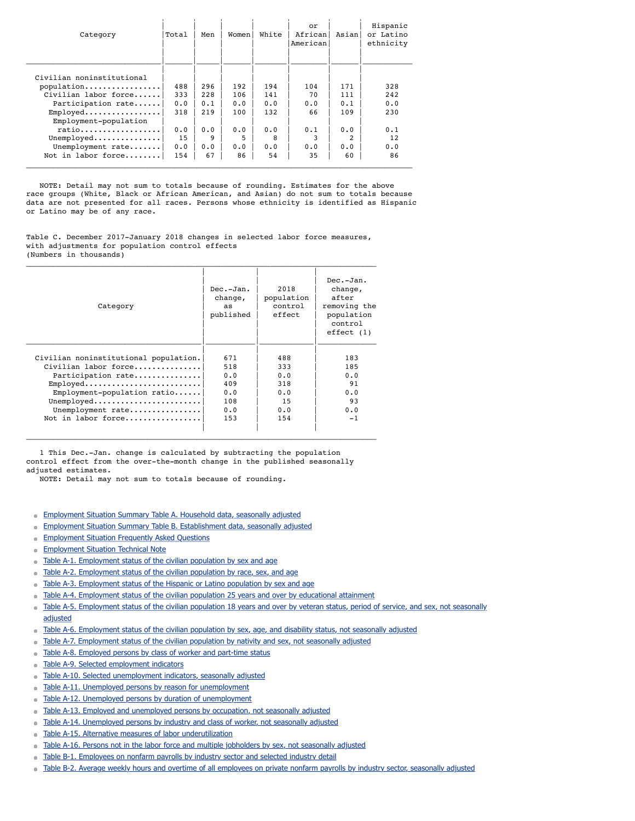| Category                  | Total | Men | Women | White | or<br>African<br>American | Asianl         | Hispanic<br>or Latino<br>ethnicity |
|---------------------------|-------|-----|-------|-------|---------------------------|----------------|------------------------------------|
|                           |       |     |       |       |                           |                |                                    |
| Civilian noninstitutional |       |     |       |       |                           |                |                                    |
| population                | 488   | 296 | 192   | 194   | 104                       | 171            | 328                                |
| Civilian labor force      | 333   | 228 | 106   | 141   | 70                        | 111            | 242                                |
| Participation rate        | 0.0   | 0.1 | 0.0   | 0.0   | 0.0                       | 0.1            | 0.0                                |
| $Emploved$                | 318   | 219 | 100   | 132   | 66                        | 109            | 230                                |
| Employment-population     |       |     |       |       |                           |                |                                    |
| ratio                     | 0.0   | 0.0 | 0.0   | 0.0   | 0.1                       | 0.0            | 0.1                                |
| $Unemploved$              | 15    | 9   | 5     | 8     |                           | $\mathfrak{D}$ | 12                                 |
| Unemployment rate         | 0.0   | 0.0 | 0.0   | 0.0   | 0.0                       | 0.0            | 0.0                                |
| Not in labor force        | 154   | 67  | 86    | 54    | 35                        | 60             | 86                                 |

 NOTE: Detail may not sum to totals because of rounding. Estimates for the above race groups (White, Black or African American, and Asian) do not sum to totals because data are not presented for all races. Persons whose ethnicity is identified as Hispanic or Latino may be of any race.

Table C. December 2017-January 2018 changes in selected labor force measures, with adjustments for population control effects (Numbers in thousands)  $\mathcal{L}_\mathcal{L} = \{ \mathcal{L}_\mathcal{L} = \{ \mathcal{L}_\mathcal{L} = \{ \mathcal{L}_\mathcal{L} = \{ \mathcal{L}_\mathcal{L} = \{ \mathcal{L}_\mathcal{L} = \{ \mathcal{L}_\mathcal{L} = \{ \mathcal{L}_\mathcal{L} = \{ \mathcal{L}_\mathcal{L} = \{ \mathcal{L}_\mathcal{L} = \{ \mathcal{L}_\mathcal{L} = \{ \mathcal{L}_\mathcal{L} = \{ \mathcal{L}_\mathcal{L} = \{ \mathcal{L}_\mathcal{L} = \{ \mathcal{L}_\mathcal{$ 

| Category                                                           | Dec.-Jan.<br>change,<br>as.<br>published | 2018<br>population<br>control<br>effect. | $Dec.-Jan.$<br>change,<br>after<br>removing the<br>population<br>control<br>effect(1) |
|--------------------------------------------------------------------|------------------------------------------|------------------------------------------|---------------------------------------------------------------------------------------|
| Civilian noninstitutional population.                              | 671                                      | 488                                      | 183                                                                                   |
| Civilian labor force                                               | 518                                      | 333                                      | 185                                                                                   |
| Participation rate                                                 | 0.0                                      | 0.0                                      | 0.0                                                                                   |
| $Emploved \ldots \ldots \ldots \ldots \ldots \ldots \ldots \ldots$ | 409                                      | 318                                      | 91                                                                                    |
| $Employment-population ratio$                                      | 0.0                                      | 0.0                                      | 0.0                                                                                   |
| Unemployed                                                         | 108                                      | 15                                       | 93                                                                                    |
| Unemployment rate                                                  | 0.0                                      | 0.0                                      | 0.0                                                                                   |
| Not in labor force                                                 | 153                                      | 154                                      | $-1$                                                                                  |
|                                                                    |                                          |                                          |                                                                                       |

 1 This Dec.-Jan. change is calculated by subtracting the population control effect from the over-the-month change in the published seasonally adjusted estimates.

NOTE: Detail may not sum to totals because of rounding.

- **[Employment Situation Summary Table A. Household data, seasonally adjusted](https://www.bls.gov/news.release/empsit.a.htm)**
- [Employment Situation Summary Table B. Establishment data, seasonally adjusted](https://www.bls.gov/news.release/empsit.b.htm)  $\blacksquare$
- [Employment Situation Frequently Asked Questions](https://www.bls.gov/news.release/empsit.faq.htm)  $\blacksquare$
- [Employment Situation Technical Note](https://www.bls.gov/news.release/empsit.tn.htm)  $\qquad \qquad \blacksquare$
- [Table A-1. Employment status of the civilian population by sex and age](https://www.bls.gov/news.release/empsit.t01.htm)
- [Table A-2. Employment status of the civilian population by race, sex, and age](https://www.bls.gov/news.release/empsit.t02.htm)
- [Table A-3. Employment status of the Hispanic or Latino population by sex and age](https://www.bls.gov/news.release/empsit.t03.htm)
- [Table A-4. Employment status of the civilian population 25 years and over by educational attainment](https://www.bls.gov/news.release/empsit.t04.htm)
- [Table A-5. Employment status of the civilian population 18 years and over by veteran status, period of service, and sex, not seasonally](https://www.bls.gov/news.release/empsit.t05.htm)  $\alpha$ adjusted
- [Table A-6. Employment status of the civilian population by sex, age, and disability status, not seasonally adjusted](https://www.bls.gov/news.release/empsit.t06.htm)  $\blacksquare$
- [Table A-7. Employment status of the civilian population by nativity and sex, not seasonally adjusted](https://www.bls.gov/news.release/empsit.t07.htm)  $\blacksquare$
- [Table A-8. Employed persons by class of worker and part-time status](https://www.bls.gov/news.release/empsit.t08.htm)  $\alpha$
- [Table A-9. Selected employment indicators](https://www.bls.gov/news.release/empsit.t09.htm) a.
- [Table A-10. Selected unemployment indicators, seasonally adjusted](https://www.bls.gov/news.release/empsit.t10.htm)
- [Table A-11. Unemployed persons by reason for unemployment](https://www.bls.gov/news.release/empsit.t11.htm)
- [Table A-12. Unemployed persons by duration of unemployment](https://www.bls.gov/news.release/empsit.t12.htm)
- $\blacksquare$ [Table A-13. Employed and unemployed persons by occupation, not seasonally adjusted](https://www.bls.gov/news.release/empsit.t13.htm)
- [Table A-14. Unemployed persons by industry and class of worker, not seasonally adjusted](https://www.bls.gov/news.release/empsit.t14.htm)  $\blacksquare$
- [Table A-15. Alternative measures of labor underutilization](https://www.bls.gov/news.release/empsit.t15.htm)
- [Table A-16. Persons not in the labor force and multiple jobholders by sex, not seasonally adjusted](https://www.bls.gov/news.release/empsit.t16.htm)
- [Table B-1. Employees on nonfarm payrolls by industry sector and selected industry detail](https://www.bls.gov/news.release/empsit.t17.htm)
- [Table B-2. Average weekly hours and overtime of all employees on private nonfarm payrolls by industry sector, seasonally adjusted](https://www.bls.gov/news.release/empsit.t18.htm)